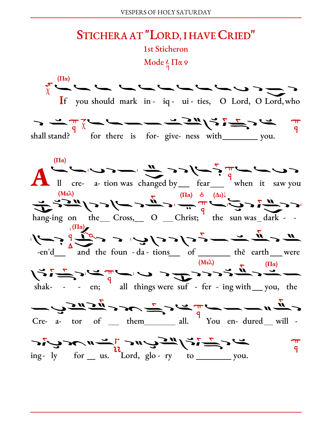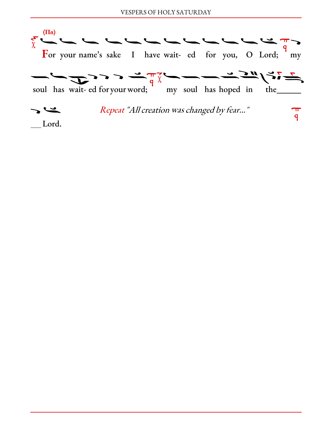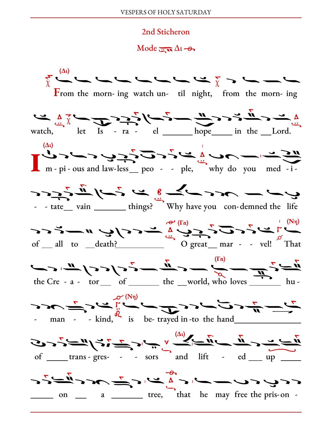## 2nd Sticheron

 $Mode \rightarrow \Delta I$ 

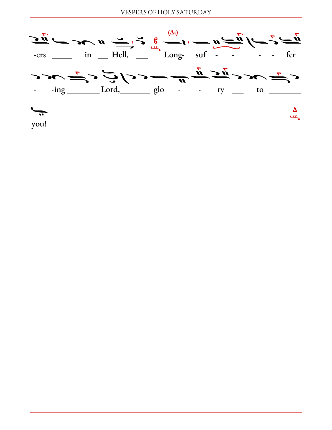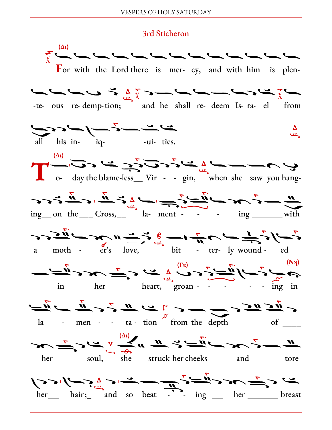## 3rd Sticheron

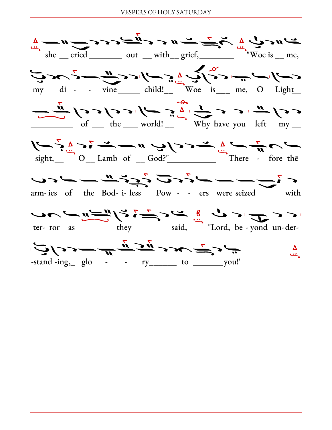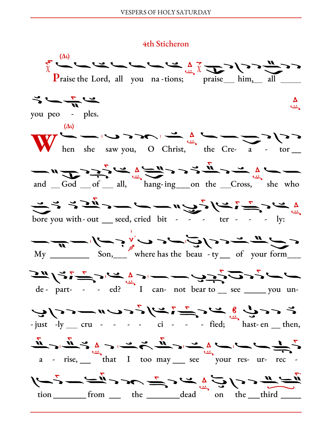## 4th Sticheron

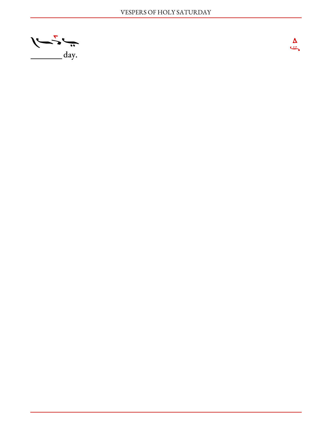

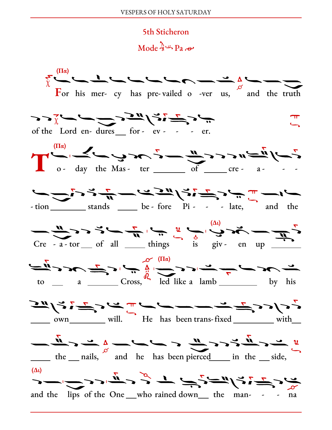## **5th Sticheron**

 $Mode \rightarrow Pa \rightarrow Pa$